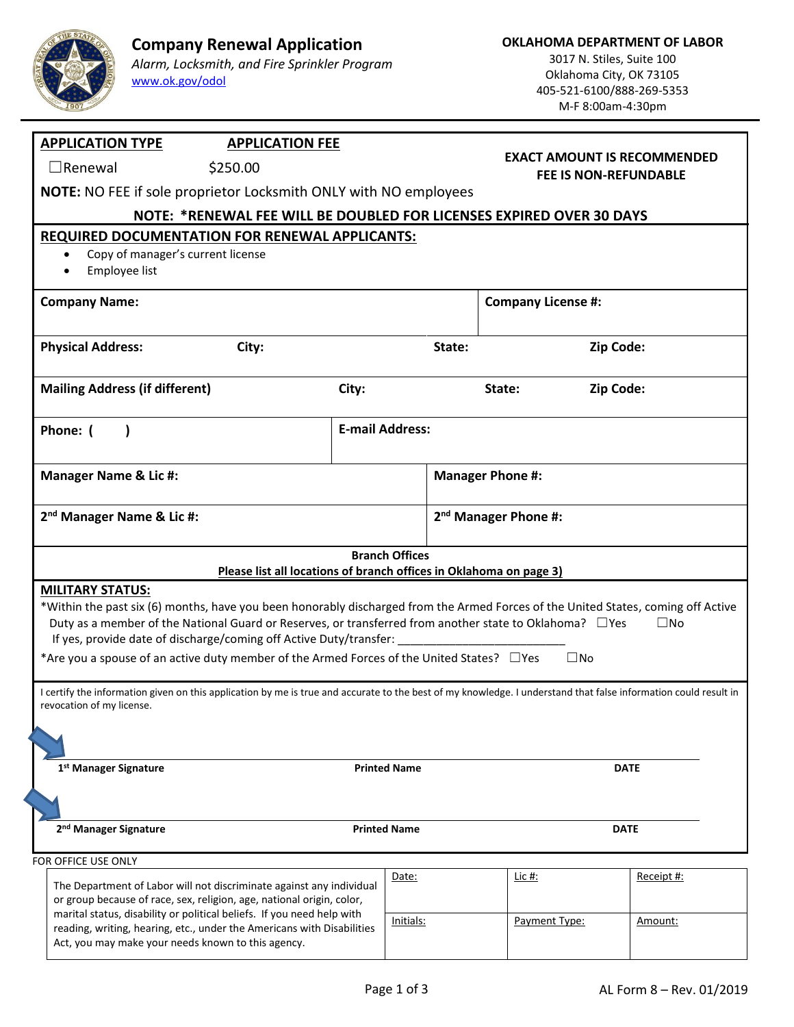

## **Company Renewal Application**

*Alarm, Locksmith, and Fire Sprinkler Program* [www.ok.gov/odol](http://www.ok.gov/odol)

3017 N. Stiles, Suite 100 Oklahoma City, OK 73105 405-521-6100/888-269-5353 M-F 8:00am-4:30pm

| <b>APPLICATION TYPE</b><br><b>APPLICATION FEE</b>                                                                                                                                                                                                                                                                                                              |                                                                  |                                  | <b>EXACT AMOUNT IS RECOMMENDED</b><br><b>FEE IS NON-REFUNDABLE</b> |             |  |  |
|----------------------------------------------------------------------------------------------------------------------------------------------------------------------------------------------------------------------------------------------------------------------------------------------------------------------------------------------------------------|------------------------------------------------------------------|----------------------------------|--------------------------------------------------------------------|-------------|--|--|
| $\Box$ Renewal<br>\$250.00                                                                                                                                                                                                                                                                                                                                     |                                                                  |                                  |                                                                    |             |  |  |
|                                                                                                                                                                                                                                                                                                                                                                | NOTE: NO FEE if sole proprietor Locksmith ONLY with NO employees |                                  |                                                                    |             |  |  |
| NOTE: *RENEWAL FEE WILL BE DOUBLED FOR LICENSES EXPIRED OVER 30 DAYS                                                                                                                                                                                                                                                                                           |                                                                  |                                  |                                                                    |             |  |  |
| <b>REQUIRED DOCUMENTATION FOR RENEWAL APPLICANTS:</b>                                                                                                                                                                                                                                                                                                          |                                                                  |                                  |                                                                    |             |  |  |
| Copy of manager's current license<br>$\bullet$                                                                                                                                                                                                                                                                                                                 |                                                                  |                                  |                                                                    |             |  |  |
| Employee list                                                                                                                                                                                                                                                                                                                                                  |                                                                  |                                  |                                                                    |             |  |  |
| <b>Company Name:</b>                                                                                                                                                                                                                                                                                                                                           |                                                                  |                                  | <b>Company License #:</b>                                          |             |  |  |
| <b>Physical Address:</b><br>City:                                                                                                                                                                                                                                                                                                                              |                                                                  | State:                           | Zip Code:                                                          |             |  |  |
| <b>Mailing Address (if different)</b>                                                                                                                                                                                                                                                                                                                          | City:                                                            |                                  | State:<br>Zip Code:                                                |             |  |  |
| Phone: (                                                                                                                                                                                                                                                                                                                                                       | <b>E-mail Address:</b>                                           |                                  |                                                                    |             |  |  |
| <b>Manager Name &amp; Lic #:</b>                                                                                                                                                                                                                                                                                                                               |                                                                  | <b>Manager Phone #:</b>          |                                                                    |             |  |  |
| 2 <sup>nd</sup> Manager Name & Lic #:                                                                                                                                                                                                                                                                                                                          |                                                                  | 2 <sup>nd</sup> Manager Phone #: |                                                                    |             |  |  |
| Please list all locations of branch offices in Oklahoma on page 3)                                                                                                                                                                                                                                                                                             | <b>Branch Offices</b>                                            |                                  |                                                                    |             |  |  |
| <b>MILITARY STATUS:</b><br>*Within the past six (6) months, have you been honorably discharged from the Armed Forces of the United States, coming off Active<br>Duty as a member of the National Guard or Reserves, or transferred from another state to Oklahoma? □ Yes<br>$\square$ No<br>If yes, provide date of discharge/coming off Active Duty/transfer: |                                                                  |                                  |                                                                    |             |  |  |
| *Are you a spouse of an active duty member of the Armed Forces of the United States? $\Box$ Yes<br>$\square$ No                                                                                                                                                                                                                                                |                                                                  |                                  |                                                                    |             |  |  |
|                                                                                                                                                                                                                                                                                                                                                                |                                                                  |                                  |                                                                    |             |  |  |
| I certify the information given on this application by me is true and accurate to the best of my knowledge. I understand that false information could result in<br>revocation of my license.                                                                                                                                                                   |                                                                  |                                  |                                                                    |             |  |  |
|                                                                                                                                                                                                                                                                                                                                                                |                                                                  |                                  |                                                                    |             |  |  |
| 1 <sup>st</sup> Manager Signature                                                                                                                                                                                                                                                                                                                              | <b>Printed Name</b>                                              |                                  |                                                                    | <b>DATE</b> |  |  |
|                                                                                                                                                                                                                                                                                                                                                                |                                                                  |                                  |                                                                    |             |  |  |
|                                                                                                                                                                                                                                                                                                                                                                |                                                                  |                                  |                                                                    |             |  |  |
| 2 <sup>nd</sup> Manager Signature                                                                                                                                                                                                                                                                                                                              | <b>Printed Name</b>                                              |                                  |                                                                    | <b>DATE</b> |  |  |
| FOR OFFICE USE ONLY                                                                                                                                                                                                                                                                                                                                            |                                                                  |                                  |                                                                    |             |  |  |
| The Department of Labor will not discriminate against any individual                                                                                                                                                                                                                                                                                           | Date:                                                            |                                  | Lic #:                                                             | Receipt #:  |  |  |
| or group because of race, sex, religion, age, national origin, color,<br>marital status, disability or political beliefs. If you need help with                                                                                                                                                                                                                | Initials:                                                        |                                  | Payment Type:                                                      | Amount:     |  |  |
| reading, writing, hearing, etc., under the Americans with Disabilities<br>Act, you may make your needs known to this agency.                                                                                                                                                                                                                                   |                                                                  |                                  |                                                                    |             |  |  |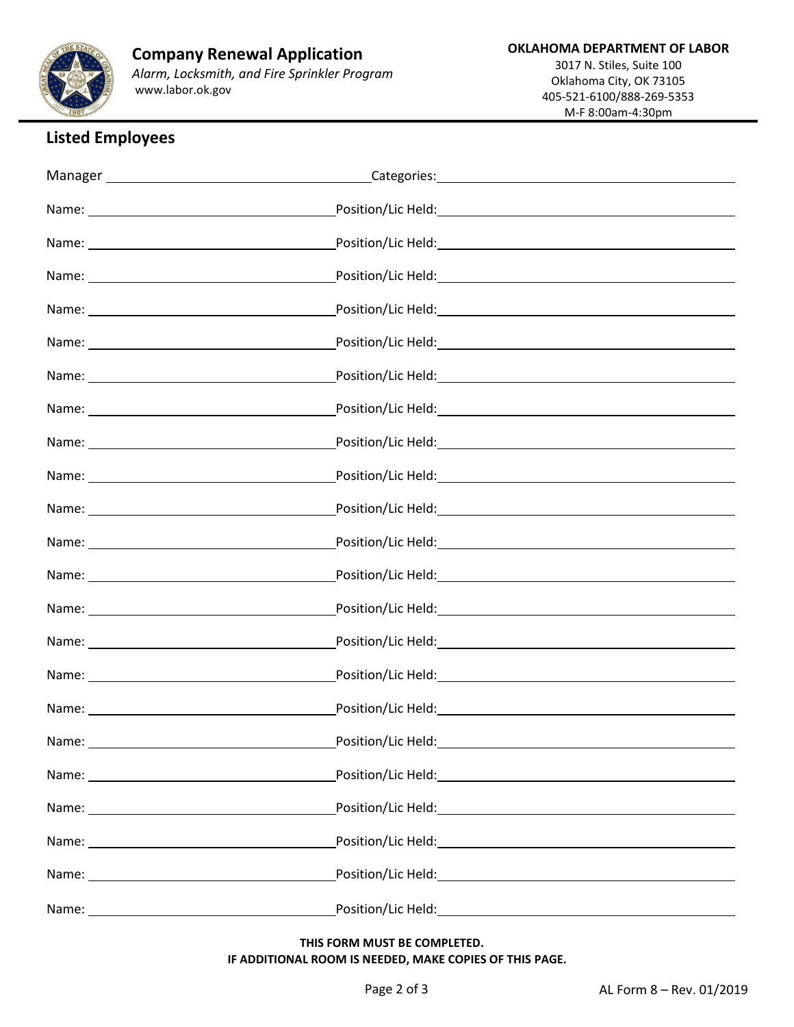

## **Listed Employees**

| Name:                                                                                                                                                                                                                         | Position/Lic Held: |
|-------------------------------------------------------------------------------------------------------------------------------------------------------------------------------------------------------------------------------|--------------------|
|                                                                                                                                                                                                                               |                    |
|                                                                                                                                                                                                                               |                    |
| Name: Name and the second contract of the second contract of the second contract of the second contract of the second contract of the second contract of the second contract of the second contract of the second contract of |                    |
|                                                                                                                                                                                                                               |                    |
|                                                                                                                                                                                                                               |                    |

 **THIS FORM MUST BE COMPLETED. IF ADDITIONAL ROOM IS NEEDED, MAKE COPIES OF THIS PAGE.**